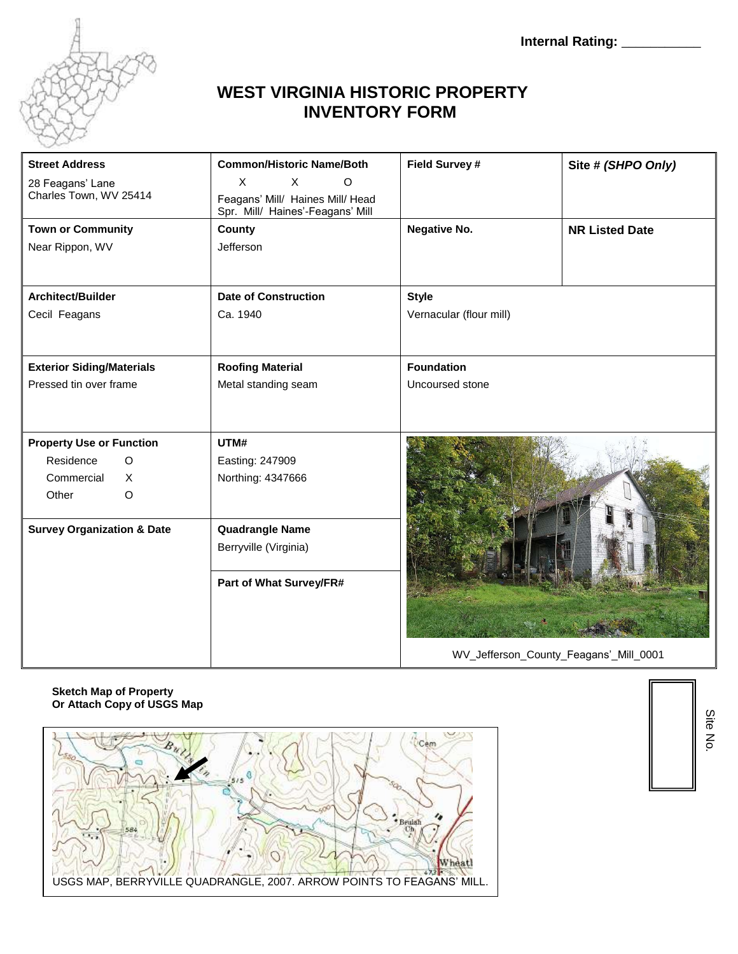

## **WEST VIRGINIA HISTORIC PROPERTY INVENTORY FORM**

| <b>Street Address</b>                  | <b>Common/Historic Name/Both</b> | Field Survey #          | Site # (SHPO Only)    |
|----------------------------------------|----------------------------------|-------------------------|-----------------------|
| 28 Feagans' Lane                       | X<br>$\circ$<br>X                |                         |                       |
| Charles Town, WV 25414                 | Feagans' Mill/ Haines Mill/ Head |                         |                       |
|                                        | Spr. Mill/ Haines'-Feagans' Mill |                         |                       |
| <b>Town or Community</b>               | County                           | Negative No.            | <b>NR Listed Date</b> |
| Near Rippon, WV                        | Jefferson                        |                         |                       |
|                                        |                                  |                         |                       |
|                                        |                                  |                         |                       |
| Architect/Builder                      | <b>Date of Construction</b>      | <b>Style</b>            |                       |
| Cecil Feagans                          | Ca. 1940                         | Vernacular (flour mill) |                       |
|                                        |                                  |                         |                       |
|                                        |                                  |                         |                       |
| <b>Exterior Siding/Materials</b>       | <b>Roofing Material</b>          | <b>Foundation</b>       |                       |
| Pressed tin over frame                 | Metal standing seam              | Uncoursed stone         |                       |
|                                        |                                  |                         |                       |
|                                        |                                  |                         |                       |
| <b>Property Use or Function</b>        | UTM#                             |                         |                       |
| Residence<br>$\Omega$                  |                                  |                         |                       |
|                                        | Easting: 247909                  |                         |                       |
| Commercial<br>$\times$                 | Northing: 4347666                |                         |                       |
| Other<br>$\circ$                       |                                  |                         |                       |
|                                        |                                  |                         |                       |
| <b>Survey Organization &amp; Date</b>  | <b>Quadrangle Name</b>           |                         |                       |
|                                        | Berryville (Virginia)            |                         |                       |
|                                        |                                  |                         |                       |
|                                        | Part of What Survey/FR#          |                         |                       |
|                                        |                                  |                         |                       |
|                                        |                                  |                         |                       |
|                                        |                                  |                         |                       |
|                                        |                                  |                         |                       |
| WV_Jefferson_County_Feagans'_Mill_0001 |                                  |                         |                       |

#### **Sketch Map of Property Or Attach Copy of USGS Map**



Site No.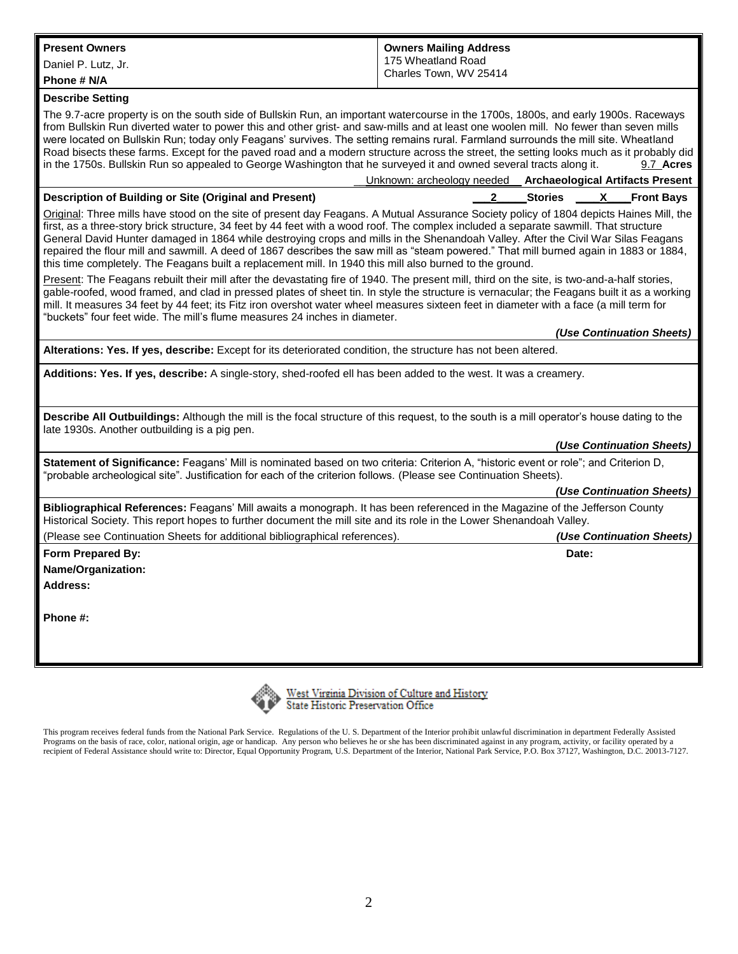| <b>Present Owners</b>                                                                                                                                                                                                                                                                                                                                                                                                                                                                                                                                                                                                                                                                                                                                                     | <b>Owners Mailing Address</b>                 |  |  |
|---------------------------------------------------------------------------------------------------------------------------------------------------------------------------------------------------------------------------------------------------------------------------------------------------------------------------------------------------------------------------------------------------------------------------------------------------------------------------------------------------------------------------------------------------------------------------------------------------------------------------------------------------------------------------------------------------------------------------------------------------------------------------|-----------------------------------------------|--|--|
| Daniel P. Lutz, Jr.                                                                                                                                                                                                                                                                                                                                                                                                                                                                                                                                                                                                                                                                                                                                                       | 175 Wheatland Road<br>Charles Town, WV 25414  |  |  |
| Phone # N/A                                                                                                                                                                                                                                                                                                                                                                                                                                                                                                                                                                                                                                                                                                                                                               |                                               |  |  |
| <b>Describe Setting</b>                                                                                                                                                                                                                                                                                                                                                                                                                                                                                                                                                                                                                                                                                                                                                   |                                               |  |  |
| The 9.7-acre property is on the south side of Bullskin Run, an important watercourse in the 1700s, 1800s, and early 1900s. Raceways<br>from Bullskin Run diverted water to power this and other grist- and saw-mills and at least one woolen mill. No fewer than seven mills<br>were located on Bullskin Run; today only Feagans' survives. The setting remains rural. Farmland surrounds the mill site. Wheatland<br>Road bisects these farms. Except for the paved road and a modern structure across the street, the setting looks much as it probably did<br>in the 1750s. Bullskin Run so appealed to George Washington that he surveyed it and owned several tracts along it.<br>9.7 Acres<br>Unknown: archeology needed<br><b>Archaeological Artifacts Present</b> |                                               |  |  |
| Description of Building or Site (Original and Present)                                                                                                                                                                                                                                                                                                                                                                                                                                                                                                                                                                                                                                                                                                                    | 2<br><b>Stories</b><br>X<br><b>Front Bays</b> |  |  |
| Original: Three mills have stood on the site of present day Feagans. A Mutual Assurance Society policy of 1804 depicts Haines Mill, the<br>first, as a three-story brick structure, 34 feet by 44 feet with a wood roof. The complex included a separate sawmill. That structure<br>General David Hunter damaged in 1864 while destroying crops and mills in the Shenandoah Valley. After the Civil War Silas Feagans<br>repaired the flour mill and sawmill. A deed of 1867 describes the saw mill as "steam powered." That mill burned again in 1883 or 1884,<br>this time completely. The Feagans built a replacement mill. In 1940 this mill also burned to the ground.                                                                                               |                                               |  |  |
| Present: The Feagans rebuilt their mill after the devastating fire of 1940. The present mill, third on the site, is two-and-a-half stories,<br>gable-roofed, wood framed, and clad in pressed plates of sheet tin. In style the structure is vernacular; the Feagans built it as a working<br>mill. It measures 34 feet by 44 feet; its Fitz iron overshot water wheel measures sixteen feet in diameter with a face (a mill term for<br>"buckets" four feet wide. The mill's flume measures 24 inches in diameter.                                                                                                                                                                                                                                                       |                                               |  |  |
|                                                                                                                                                                                                                                                                                                                                                                                                                                                                                                                                                                                                                                                                                                                                                                           | (Use Continuation Sheets)                     |  |  |
| Alterations: Yes. If yes, describe: Except for its deteriorated condition, the structure has not been altered.                                                                                                                                                                                                                                                                                                                                                                                                                                                                                                                                                                                                                                                            |                                               |  |  |
| Additions: Yes. If yes, describe: A single-story, shed-roofed ell has been added to the west. It was a creamery.                                                                                                                                                                                                                                                                                                                                                                                                                                                                                                                                                                                                                                                          |                                               |  |  |
|                                                                                                                                                                                                                                                                                                                                                                                                                                                                                                                                                                                                                                                                                                                                                                           |                                               |  |  |
| Describe All Outbuildings: Although the mill is the focal structure of this request, to the south is a mill operator's house dating to the<br>late 1930s. Another outbuilding is a pig pen.                                                                                                                                                                                                                                                                                                                                                                                                                                                                                                                                                                               |                                               |  |  |
|                                                                                                                                                                                                                                                                                                                                                                                                                                                                                                                                                                                                                                                                                                                                                                           | (Use Continuation Sheets)                     |  |  |
| Statement of Significance: Feagans' Mill is nominated based on two criteria: Criterion A, "historic event or role"; and Criterion D,<br>"probable archeological site". Justification for each of the criterion follows. (Please see Continuation Sheets).                                                                                                                                                                                                                                                                                                                                                                                                                                                                                                                 |                                               |  |  |
|                                                                                                                                                                                                                                                                                                                                                                                                                                                                                                                                                                                                                                                                                                                                                                           | (Use Continuation Sheets)                     |  |  |
| Bibliographical References: Feagans' Mill awaits a monograph. It has been referenced in the Magazine of the Jefferson County<br>Historical Society. This report hopes to further document the mill site and its role in the Lower Shenandoah Valley.                                                                                                                                                                                                                                                                                                                                                                                                                                                                                                                      |                                               |  |  |
| (Please see Continuation Sheets for additional bibliographical references).                                                                                                                                                                                                                                                                                                                                                                                                                                                                                                                                                                                                                                                                                               | (Use Continuation Sheets)                     |  |  |
| Form Prepared By:                                                                                                                                                                                                                                                                                                                                                                                                                                                                                                                                                                                                                                                                                                                                                         | Date:                                         |  |  |
| Name/Organization:                                                                                                                                                                                                                                                                                                                                                                                                                                                                                                                                                                                                                                                                                                                                                        |                                               |  |  |
| Address:                                                                                                                                                                                                                                                                                                                                                                                                                                                                                                                                                                                                                                                                                                                                                                  |                                               |  |  |
| Phone #:                                                                                                                                                                                                                                                                                                                                                                                                                                                                                                                                                                                                                                                                                                                                                                  |                                               |  |  |



West Virginia Division of Culture and History<br>State Historic Preservation Office

This program receives federal funds from the National Park Service. Regulations of the U. S. Department of the Interior prohibit unlawful discrimination in department Federally Assisted Programs on the basis of race, color, national origin, age or handicap. Any person who believes he or she has been discriminated against in any program, activity, or facility operated by a recipient of Federal Assistance should write to: Director, Equal Opportunity Program, U.S. Department of the Interior, National Park Service, P.O. Box 37127, Washington, D.C. 20013-7127.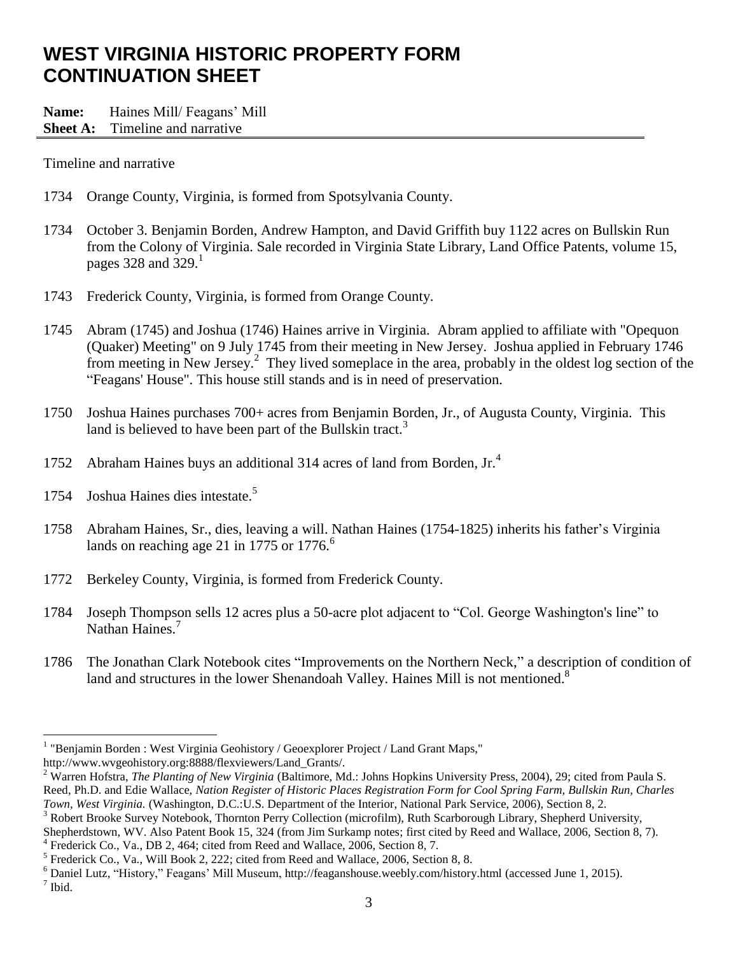# **WEST VIRGINIA HISTORIC PROPERTY FORM CONTINUATION SHEET**

**Name:** Haines Mill/ Feagans' Mill

#### **Sheet A:** Timeline and narrative

Timeline and narrative

- 1734 Orange County, Virginia, is formed from Spotsylvania County.
- 1734 October 3. Benjamin Borden, Andrew Hampton, and David Griffith buy 1122 acres on Bullskin Run from the Colony of Virginia. Sale recorded in Virginia State Library, Land Office Patents, volume 15, pages 328 and 329.<sup>1</sup>
- 1743 Frederick County, Virginia, is formed from Orange County.
- 1745 Abram (1745) and Joshua (1746) Haines arrive in Virginia. Abram applied to affiliate with "Opequon (Quaker) Meeting" on 9 July 1745 from their meeting in New Jersey. Joshua applied in February 1746 from meeting in New Jersey.<sup>2</sup> They lived someplace in the area, probably in the oldest log section of the "Feagans' House". This house still stands and is in need of preservation.
- 1750 Joshua Haines purchases 700+ acres from Benjamin Borden, Jr., of Augusta County, Virginia. This land is believed to have been part of the Bullskin tract.<sup>3</sup>
- 1752 Abraham Haines buys an additional 314 acres of land from Borden, Jr.<sup>4</sup>
- 1754 Joshua Haines dies intestate.<sup>5</sup>
- 1758 Abraham Haines, Sr., dies, leaving a will. Nathan Haines (1754-1825) inherits his father's Virginia lands on reaching age 21 in 1775 or 1776.<sup>6</sup>
- 1772 Berkeley County, Virginia, is formed from Frederick County.
- 1784 Joseph Thompson sells 12 acres plus a 50-acre plot adjacent to "Col. George Washington's line" to Nathan Haines.<sup>7</sup>
- 1786 The Jonathan Clark Notebook cites "Improvements on the Northern Neck," a description of condition of land and structures in the lower Shenandoah Valley. Haines Mill is not mentioned.<sup>8</sup>

http://www.wvgeohistory.org:8888/flexviewers/Land\_Grants/.

 $\overline{a}$ 

 $3$  Robert Brooke Survey Notebook, Thornton Perry Collection (microfilm), Ruth Scarborough Library, Shepherd University, Shepherdstown, WV. Also Patent Book 15, 324 (from Jim Surkamp notes; first cited by Reed and Wallace, 2006, Section 8, 7).

<sup>4</sup> Frederick Co., Va., DB 2, 464; cited from Reed and Wallace, 2006, Section 8, 7.

<sup>&</sup>lt;sup>1</sup> "Benjamin Borden : West Virginia Geohistory / Geoexplorer Project / Land Grant Maps,"

<sup>2</sup> Warren Hofstra, *The Planting of New Virginia* (Baltimore, Md.: Johns Hopkins University Press, 2004), 29; cited from Paula S. Reed, Ph.D. and Edie Wallace, *Nation Register of Historic Places Registration Form for Cool Spring Farm, Bullskin Run, Charles Town, West Virginia.* (Washington, D.C.:U.S. Department of the Interior, National Park Service, 2006), Section 8, 2.

 $<sup>5</sup>$  Frederick Co., Va., Will Book 2, 222; cited from Reed and Wallace, 2006, Section 8, 8.</sup>

 $6$  Daniel Lutz, "History," Feagans' Mill Museum, http://feaganshouse.weebly.com/history.html (accessed June 1, 2015). 7 Ibid.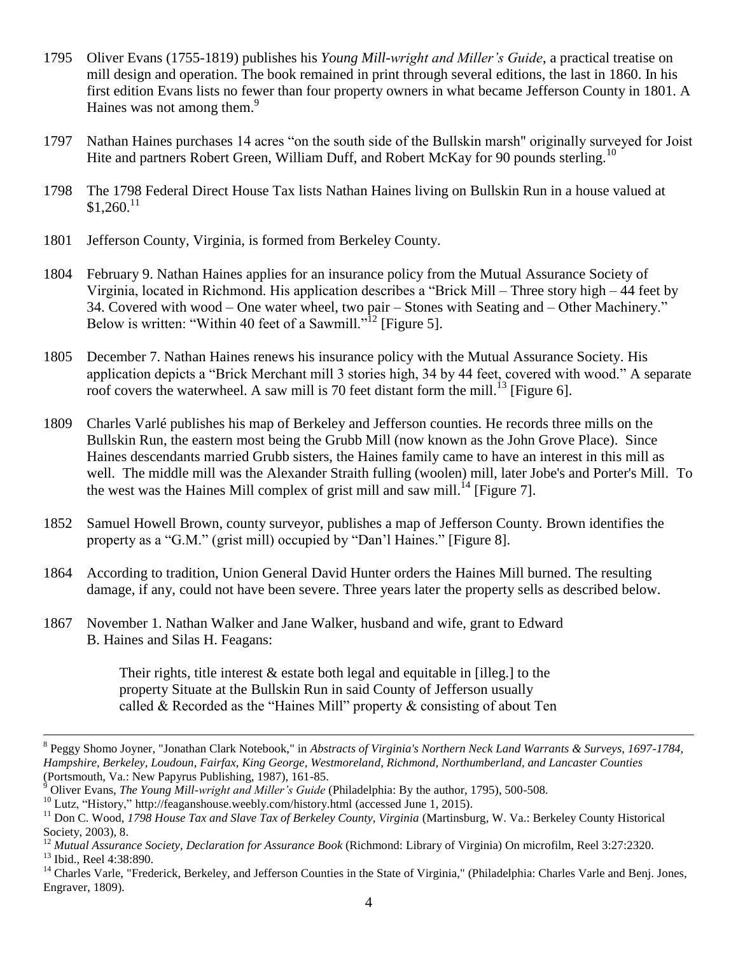- 1795 Oliver Evans (1755-1819) publishes his *Young Mill-wright and Miller's Guide*, a practical treatise on mill design and operation. The book remained in print through several editions, the last in 1860. In his first edition Evans lists no fewer than four property owners in what became Jefferson County in 1801. A Haines was not among them.<sup>9</sup>
- 1797 Nathan Haines purchases 14 acres "on the south side of the Bullskin marsh" originally surveyed for Joist Hite and partners Robert Green, William Duff, and Robert McKay for 90 pounds sterling.<sup>10</sup>
- 1798 The 1798 Federal Direct House Tax lists Nathan Haines living on Bullskin Run in a house valued at  $$1,260$ <sup>11</sup>
- 1801 Jefferson County, Virginia, is formed from Berkeley County.
- 1804 February 9. Nathan Haines applies for an insurance policy from the Mutual Assurance Society of Virginia, located in Richmond. His application describes a "Brick Mill – Three story high – 44 feet by 34. Covered with wood – One water wheel, two pair – Stones with Seating and – Other Machinery." Below is written: "Within 40 feet of a Sawmill."<sup>12</sup> [Figure 5].
- 1805 December 7. Nathan Haines renews his insurance policy with the Mutual Assurance Society. His application depicts a "Brick Merchant mill 3 stories high, 34 by 44 feet, covered with wood." A separate roof covers the waterwheel. A saw mill is 70 feet distant form the mill.<sup>13</sup> [Figure 6].
- 1809 Charles Varlé publishes his map of Berkeley and Jefferson counties. He records three mills on the Bullskin Run, the eastern most being the Grubb Mill (now known as the John Grove Place). Since Haines descendants married Grubb sisters, the Haines family came to have an interest in this mill as well. The middle mill was the Alexander Straith fulling (woolen) mill, later Jobe's and Porter's Mill. To the west was the Haines Mill complex of grist mill and saw mill.<sup>14</sup> [Figure 7].
- 1852 Samuel Howell Brown, county surveyor, publishes a map of Jefferson County. Brown identifies the property as a "G.M." (grist mill) occupied by "Dan'l Haines." [Figure 8].
- 1864 According to tradition, Union General David Hunter orders the Haines Mill burned. The resulting damage, if any, could not have been severe. Three years later the property sells as described below.
- 1867 November 1. Nathan Walker and Jane Walker, husband and wife, grant to Edward B. Haines and Silas H. Feagans:

Their rights, title interest  $\&$  estate both legal and equitable in [illeg.] to the property Situate at the Bullskin Run in said County of Jefferson usually called & Recorded as the "Haines Mill" property & consisting of about Ten

<sup>8</sup> Peggy Shomo Joyner, "Jonathan Clark Notebook," in *Abstracts of Virginia's Northern Neck Land Warrants & Surveys, 1697-1784, Hampshire, Berkeley, Loudoun, Fairfax, King George, Westmoreland, Richmond, Northumberland, and Lancaster Counties* (Portsmouth, Va.: New Papyrus Publishing, 1987), 161-85.

<sup>9</sup> Oliver Evans, *The Young Mill-wright and Miller's Guide* (Philadelphia: By the author, 1795), 500-508.

<sup>&</sup>lt;sup>10</sup> Lutz, "History," http://feaganshouse.weebly.com/history.html (accessed June 1, 2015).

<sup>11</sup> Don C. Wood, *1798 House Tax and Slave Tax of Berkeley County, Virginia* (Martinsburg, W. Va.: Berkeley County Historical Society, 2003), 8.

<sup>12</sup> *Mutual Assurance Society, Declaration for Assurance Book* (Richmond: Library of Virginia) On microfilm, Reel 3:27:2320. <sup>13</sup> Ibid., Reel 4:38:890.

<sup>&</sup>lt;sup>14</sup> Charles Varle, "Frederick, Berkeley, and Jefferson Counties in the State of Virginia," (Philadelphia: Charles Varle and Benj. Jones, Engraver, 1809).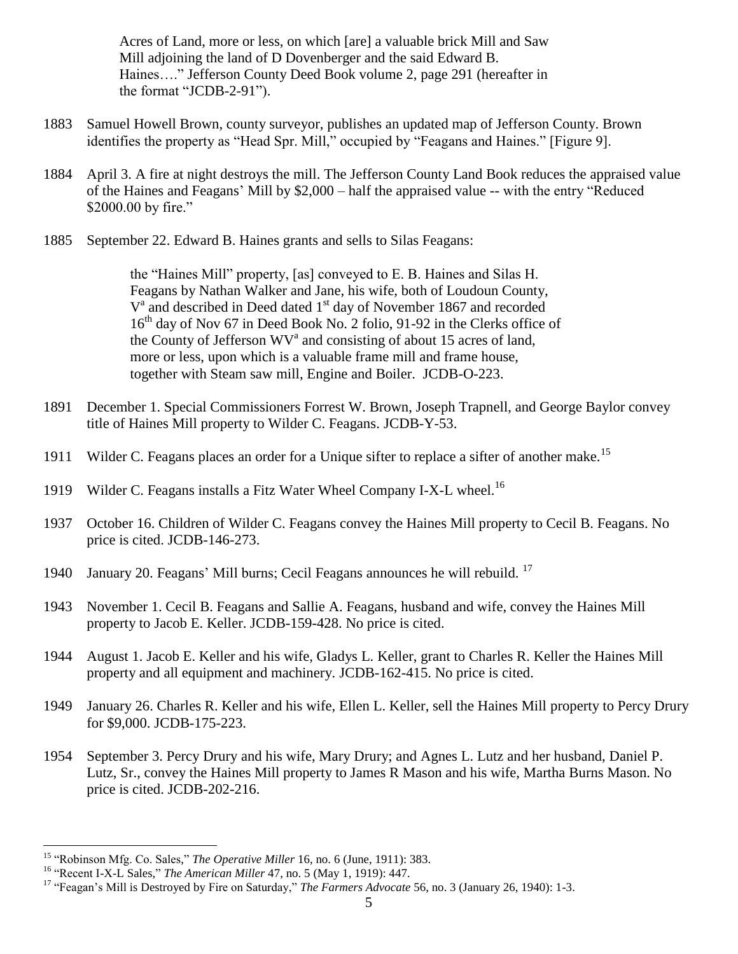Acres of Land, more or less, on which [are] a valuable brick Mill and Saw Mill adjoining the land of D Dovenberger and the said Edward B. Haines…." Jefferson County Deed Book volume 2, page 291 (hereafter in the format "JCDB-2-91").

- 1883 Samuel Howell Brown, county surveyor, publishes an updated map of Jefferson County. Brown identifies the property as "Head Spr. Mill," occupied by "Feagans and Haines." [Figure 9].
- 1884 April 3. A fire at night destroys the mill. The Jefferson County Land Book reduces the appraised value of the Haines and Feagans' Mill by \$2,000 – half the appraised value -- with the entry "Reduced \$2000.00 by fire."
- 1885 September 22. Edward B. Haines grants and sells to Silas Feagans:

the "Haines Mill" property, [as] conveyed to E. B. Haines and Silas H. Feagans by Nathan Walker and Jane, his wife, both of Loudoun County, V<sup>a</sup> and described in Deed dated 1<sup>st</sup> day of November 1867 and recorded 16<sup>th</sup> day of Nov 67 in Deed Book No. 2 folio, 91-92 in the Clerks office of the County of Jefferson  $WV^a$  and consisting of about 15 acres of land, more or less, upon which is a valuable frame mill and frame house, together with Steam saw mill, Engine and Boiler. JCDB-O-223.

- 1891 December 1. Special Commissioners Forrest W. Brown, Joseph Trapnell, and George Baylor convey title of Haines Mill property to Wilder C. Feagans. JCDB-Y-53.
- 1911 Wilder C. Feagans places an order for a Unique sifter to replace a sifter of another make.<sup>15</sup>
- 1919 Wilder C. Feagans installs a Fitz Water Wheel Company I-X-L wheel.<sup>16</sup>
- 1937 October 16. Children of Wilder C. Feagans convey the Haines Mill property to Cecil B. Feagans. No price is cited. JCDB-146-273.
- 1940 January 20. Feagans' Mill burns; Cecil Feagans announces he will rebuild. <sup>17</sup>
- 1943 November 1. Cecil B. Feagans and Sallie A. Feagans, husband and wife, convey the Haines Mill property to Jacob E. Keller. JCDB-159-428. No price is cited.
- 1944 August 1. Jacob E. Keller and his wife, Gladys L. Keller, grant to Charles R. Keller the Haines Mill property and all equipment and machinery. JCDB-162-415. No price is cited.
- 1949 January 26. Charles R. Keller and his wife, Ellen L. Keller, sell the Haines Mill property to Percy Drury for \$9,000. JCDB-175-223.
- 1954 September 3. Percy Drury and his wife, Mary Drury; and Agnes L. Lutz and her husband, Daniel P. Lutz, Sr., convey the Haines Mill property to James R Mason and his wife, Martha Burns Mason. No price is cited. JCDB-202-216.

<sup>&</sup>lt;sup>15</sup> "Robinson Mfg. Co. Sales," *The Operative Miller* 16, no. 6 (June, 1911): 383.

<sup>16</sup> "Recent I-X-L Sales," *The American Miller* 47, no. 5 (May 1, 1919): 447.

<sup>&</sup>lt;sup>17</sup> "Feagan's Mill is Destroyed by Fire on Saturday," *The Farmers Advocate* 56, no. 3 (January 26, 1940): 1-3.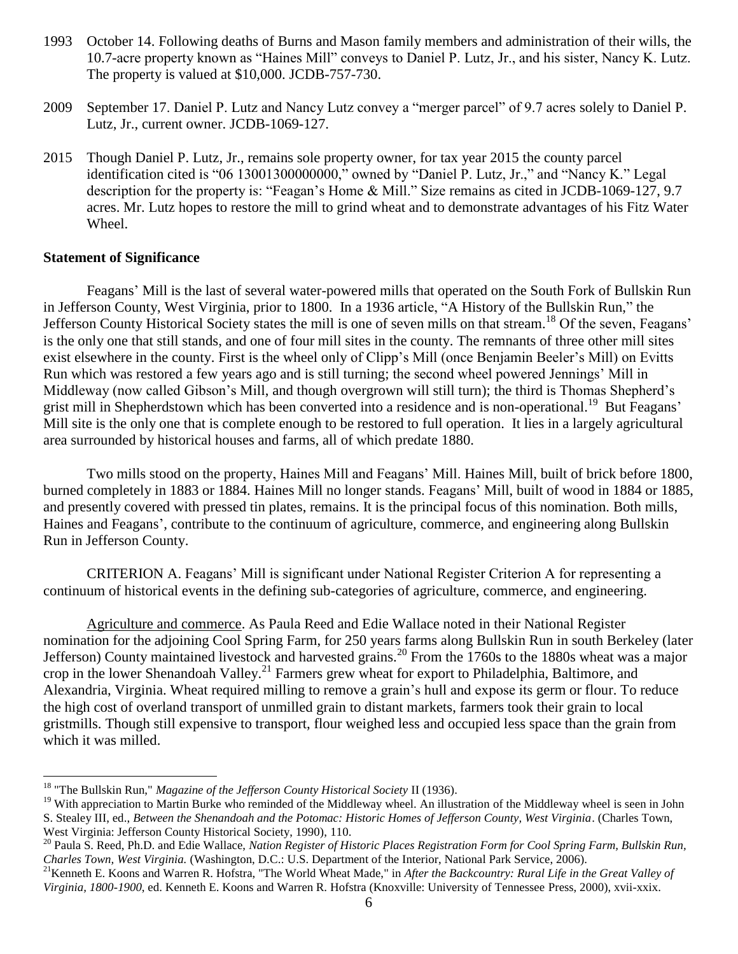- 1993 October 14. Following deaths of Burns and Mason family members and administration of their wills, the 10.7-acre property known as "Haines Mill" conveys to Daniel P. Lutz, Jr., and his sister, Nancy K. Lutz. The property is valued at \$10,000. JCDB-757-730.
- 2009 September 17. Daniel P. Lutz and Nancy Lutz convey a "merger parcel" of 9.7 acres solely to Daniel P. Lutz, Jr., current owner. JCDB-1069-127.
- 2015 Though Daniel P. Lutz, Jr., remains sole property owner, for tax year 2015 the county parcel identification cited is "06 13001300000000," owned by "Daniel P. Lutz, Jr.," and "Nancy K." Legal description for the property is: "Feagan's Home & Mill." Size remains as cited in JCDB-1069-127, 9.7 acres. Mr. Lutz hopes to restore the mill to grind wheat and to demonstrate advantages of his Fitz Water Wheel.

#### **Statement of Significance**

 $\overline{a}$ 

Feagans' Mill is the last of several water-powered mills that operated on the South Fork of Bullskin Run in Jefferson County, West Virginia, prior to 1800. In a 1936 article, "A History of the Bullskin Run," the Jefferson County Historical Society states the mill is one of seven mills on that stream.<sup>18</sup> Of the seven, Feagans' is the only one that still stands, and one of four mill sites in the county. The remnants of three other mill sites exist elsewhere in the county. First is the wheel only of Clipp's Mill (once Benjamin Beeler's Mill) on Evitts Run which was restored a few years ago and is still turning; the second wheel powered Jennings' Mill in Middleway (now called Gibson's Mill, and though overgrown will still turn); the third is Thomas Shepherd's grist mill in Shepherdstown which has been converted into a residence and is non-operational.<sup>19</sup> But Feagans' Mill site is the only one that is complete enough to be restored to full operation. It lies in a largely agricultural area surrounded by historical houses and farms, all of which predate 1880.

Two mills stood on the property, Haines Mill and Feagans' Mill. Haines Mill, built of brick before 1800, burned completely in 1883 or 1884. Haines Mill no longer stands. Feagans' Mill, built of wood in 1884 or 1885, and presently covered with pressed tin plates, remains. It is the principal focus of this nomination. Both mills, Haines and Feagans', contribute to the continuum of agriculture, commerce, and engineering along Bullskin Run in Jefferson County.

CRITERION A. Feagans' Mill is significant under National Register Criterion A for representing a continuum of historical events in the defining sub-categories of agriculture, commerce, and engineering.

Agriculture and commerce. As Paula Reed and Edie Wallace noted in their National Register nomination for the adjoining Cool Spring Farm, for 250 years farms along Bullskin Run in south Berkeley (later Jefferson) County maintained livestock and harvested grains.<sup>20</sup> From the 1760s to the 1880s wheat was a major crop in the lower Shenandoah Valley.<sup>21</sup> Farmers grew wheat for export to Philadelphia, Baltimore, and Alexandria, Virginia. Wheat required milling to remove a grain's hull and expose its germ or flour. To reduce the high cost of overland transport of unmilled grain to distant markets, farmers took their grain to local gristmills. Though still expensive to transport, flour weighed less and occupied less space than the grain from which it was milled.

<sup>18</sup> "The Bullskin Run," *Magazine of the Jefferson County Historical Society* II (1936).

<sup>&</sup>lt;sup>19</sup> With appreciation to Martin Burke who reminded of the Middleway wheel. An illustration of the Middleway wheel is seen in John S. Stealey III, ed., *Between the Shenandoah and the Potomac: Historic Homes of Jefferson County, West Virginia*. (Charles Town, West Virginia: Jefferson County Historical Society, 1990), 110.

<sup>20</sup> Paula S. Reed, Ph.D. and Edie Wallace, *Nation Register of Historic Places Registration Form for Cool Spring Farm, Bullskin Run, Charles Town, West Virginia.* (Washington, D.C.: U.S. Department of the Interior, National Park Service, 2006).

<sup>21</sup>Kenneth E. Koons and Warren R. Hofstra, "The World Wheat Made," in *After the Backcountry: Rural Life in the Great Valley of Virginia, 1800-1900*, ed. Kenneth E. Koons and Warren R. Hofstra (Knoxville: University of Tennessee Press, 2000), xvii-xxix.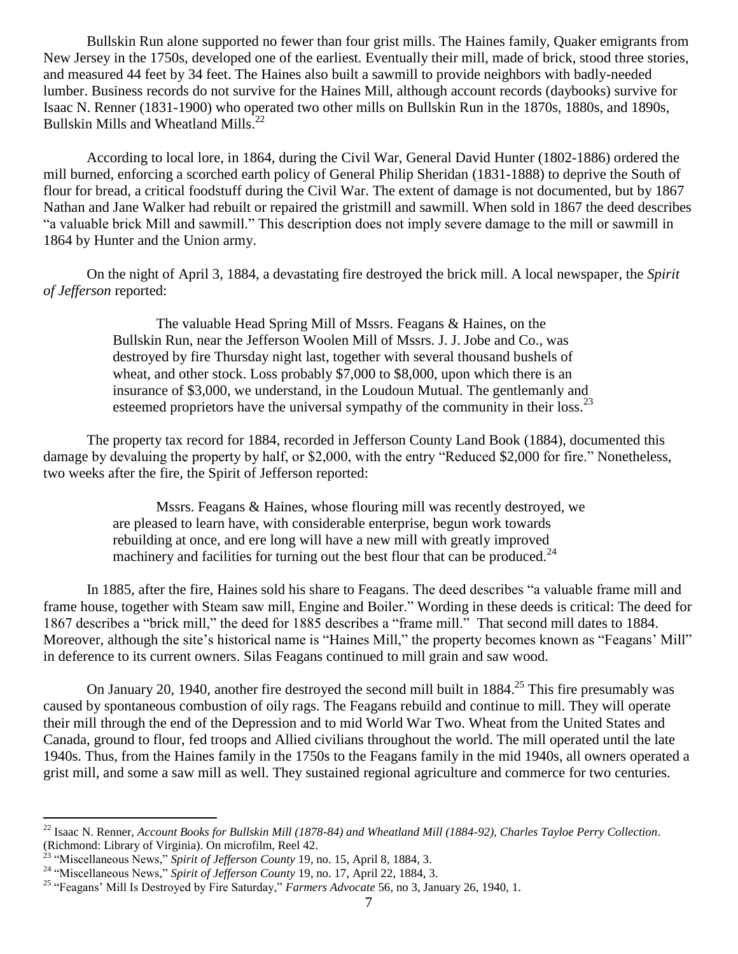Bullskin Run alone supported no fewer than four grist mills. The Haines family, Quaker emigrants from New Jersey in the 1750s, developed one of the earliest. Eventually their mill, made of brick, stood three stories, and measured 44 feet by 34 feet. The Haines also built a sawmill to provide neighbors with badly-needed lumber. Business records do not survive for the Haines Mill, although account records (daybooks) survive for Isaac N. Renner (1831-1900) who operated two other mills on Bullskin Run in the 1870s, 1880s, and 1890s, Bullskin Mills and Wheatland Mills.<sup>22</sup>

According to local lore, in 1864, during the Civil War, General David Hunter (1802-1886) ordered the mill burned, enforcing a scorched earth policy of General Philip Sheridan (1831-1888) to deprive the South of flour for bread, a critical foodstuff during the Civil War. The extent of damage is not documented, but by 1867 Nathan and Jane Walker had rebuilt or repaired the gristmill and sawmill. When sold in 1867 the deed describes "a valuable brick Mill and sawmill." This description does not imply severe damage to the mill or sawmill in 1864 by Hunter and the Union army.

On the night of April 3, 1884, a devastating fire destroyed the brick mill. A local newspaper, the *Spirit of Jefferson* reported:

> The valuable Head Spring Mill of Mssrs. Feagans & Haines, on the Bullskin Run, near the Jefferson Woolen Mill of Mssrs. J. J. Jobe and Co., was destroyed by fire Thursday night last, together with several thousand bushels of wheat, and other stock. Loss probably \$7,000 to \$8,000, upon which there is an insurance of \$3,000, we understand, in the Loudoun Mutual. The gentlemanly and esteemed proprietors have the universal sympathy of the community in their loss. $^{23}$

The property tax record for 1884, recorded in Jefferson County Land Book (1884), documented this damage by devaluing the property by half, or \$2,000, with the entry "Reduced \$2,000 for fire." Nonetheless, two weeks after the fire, the Spirit of Jefferson reported:

> Mssrs. Feagans & Haines, whose flouring mill was recently destroyed, we are pleased to learn have, with considerable enterprise, begun work towards rebuilding at once, and ere long will have a new mill with greatly improved machinery and facilities for turning out the best flour that can be produced.<sup>24</sup>

In 1885, after the fire, Haines sold his share to Feagans. The deed describes "a valuable frame mill and frame house, together with Steam saw mill, Engine and Boiler." Wording in these deeds is critical: The deed for 1867 describes a "brick mill," the deed for 1885 describes a "frame mill." That second mill dates to 1884. Moreover, although the site's historical name is "Haines Mill," the property becomes known as "Feagans' Mill" in deference to its current owners. Silas Feagans continued to mill grain and saw wood.

On January 20, 1940, another fire destroyed the second mill built in 1884.<sup>25</sup> This fire presumably was caused by spontaneous combustion of oily rags. The Feagans rebuild and continue to mill. They will operate their mill through the end of the Depression and to mid World War Two. Wheat from the United States and Canada, ground to flour, fed troops and Allied civilians throughout the world. The mill operated until the late 1940s. Thus, from the Haines family in the 1750s to the Feagans family in the mid 1940s, all owners operated a grist mill, and some a saw mill as well. They sustained regional agriculture and commerce for two centuries.

<sup>22</sup> Isaac N. Renner, *Account Books for Bullskin Mill (1878-84) and Wheatland Mill (1884-92), Charles Tayloe Perry Collection*. (Richmond: Library of Virginia). On microfilm, Reel 42.

<sup>&</sup>lt;sup>23</sup> "Miscellaneous News," Spirit of Jefferson County 19, no. 15, April 8, 1884, 3.

<sup>24</sup> "Miscellaneous News," *Spirit of Jefferson County* 19, no. 17, April 22, 1884, 3.

<sup>25</sup> "Feagans' Mill Is Destroyed by Fire Saturday," *Farmers Advocate* 56, no 3, January 26, 1940, 1.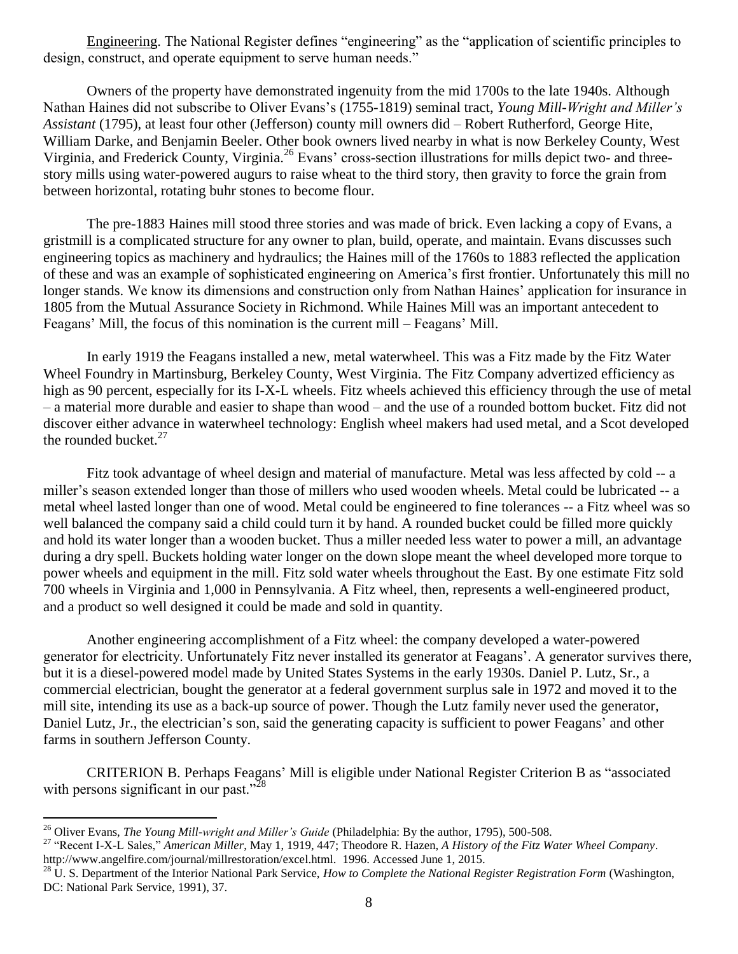Engineering. The National Register defines "engineering" as the "application of scientific principles to design, construct, and operate equipment to serve human needs."

Owners of the property have demonstrated ingenuity from the mid 1700s to the late 1940s. Although Nathan Haines did not subscribe to Oliver Evans's (1755-1819) seminal tract, *Young Mill-Wright and Miller's Assistant* (1795), at least four other (Jefferson) county mill owners did – Robert Rutherford, George Hite, William Darke, and Benjamin Beeler. Other book owners lived nearby in what is now Berkeley County, West Virginia, and Frederick County, Virginia.<sup>26</sup> Evans' cross-section illustrations for mills depict two- and threestory mills using water-powered augurs to raise wheat to the third story, then gravity to force the grain from between horizontal, rotating buhr stones to become flour.

The pre-1883 Haines mill stood three stories and was made of brick. Even lacking a copy of Evans, a gristmill is a complicated structure for any owner to plan, build, operate, and maintain. Evans discusses such engineering topics as machinery and hydraulics; the Haines mill of the 1760s to 1883 reflected the application of these and was an example of sophisticated engineering on America's first frontier. Unfortunately this mill no longer stands. We know its dimensions and construction only from Nathan Haines' application for insurance in 1805 from the Mutual Assurance Society in Richmond. While Haines Mill was an important antecedent to Feagans' Mill, the focus of this nomination is the current mill – Feagans' Mill.

In early 1919 the Feagans installed a new, metal waterwheel. This was a Fitz made by the Fitz Water Wheel Foundry in Martinsburg, Berkeley County, West Virginia. The Fitz Company advertized efficiency as high as 90 percent, especially for its I-X-L wheels. Fitz wheels achieved this efficiency through the use of metal – a material more durable and easier to shape than wood – and the use of a rounded bottom bucket. Fitz did not discover either advance in waterwheel technology: English wheel makers had used metal, and a Scot developed the rounded bucket. $27$ 

Fitz took advantage of wheel design and material of manufacture. Metal was less affected by cold -- a miller's season extended longer than those of millers who used wooden wheels. Metal could be lubricated -- a metal wheel lasted longer than one of wood. Metal could be engineered to fine tolerances -- a Fitz wheel was so well balanced the company said a child could turn it by hand. A rounded bucket could be filled more quickly and hold its water longer than a wooden bucket. Thus a miller needed less water to power a mill, an advantage during a dry spell. Buckets holding water longer on the down slope meant the wheel developed more torque to power wheels and equipment in the mill. Fitz sold water wheels throughout the East. By one estimate Fitz sold 700 wheels in Virginia and 1,000 in Pennsylvania. A Fitz wheel, then, represents a well-engineered product, and a product so well designed it could be made and sold in quantity.

Another engineering accomplishment of a Fitz wheel: the company developed a water-powered generator for electricity. Unfortunately Fitz never installed its generator at Feagans'. A generator survives there, but it is a diesel-powered model made by United States Systems in the early 1930s. Daniel P. Lutz, Sr., a commercial electrician, bought the generator at a federal government surplus sale in 1972 and moved it to the mill site, intending its use as a back-up source of power. Though the Lutz family never used the generator, Daniel Lutz, Jr., the electrician's son, said the generating capacity is sufficient to power Feagans' and other farms in southern Jefferson County.

CRITERION B. Perhaps Feagans' Mill is eligible under National Register Criterion B as "associated with persons significant in our past."<sup>28</sup>

<sup>26</sup> Oliver Evans, *The Young Mill-wright and Miller's Guide* (Philadelphia: By the author, 1795), 500-508.

<sup>27</sup> "Recent I-X-L Sales," *American Miller*, May 1, 1919, 447; Theodore R. Hazen, *A History of the Fitz Water Wheel Company*. http://www.angelfire.com/journal/millrestoration/excel.html. 1996. Accessed June 1, 2015.

<sup>&</sup>lt;sup>28</sup> U. S. Department of the Interior National Park Service, *How to Complete the National Register Registration Form* (Washington, DC: National Park Service, 1991), 37.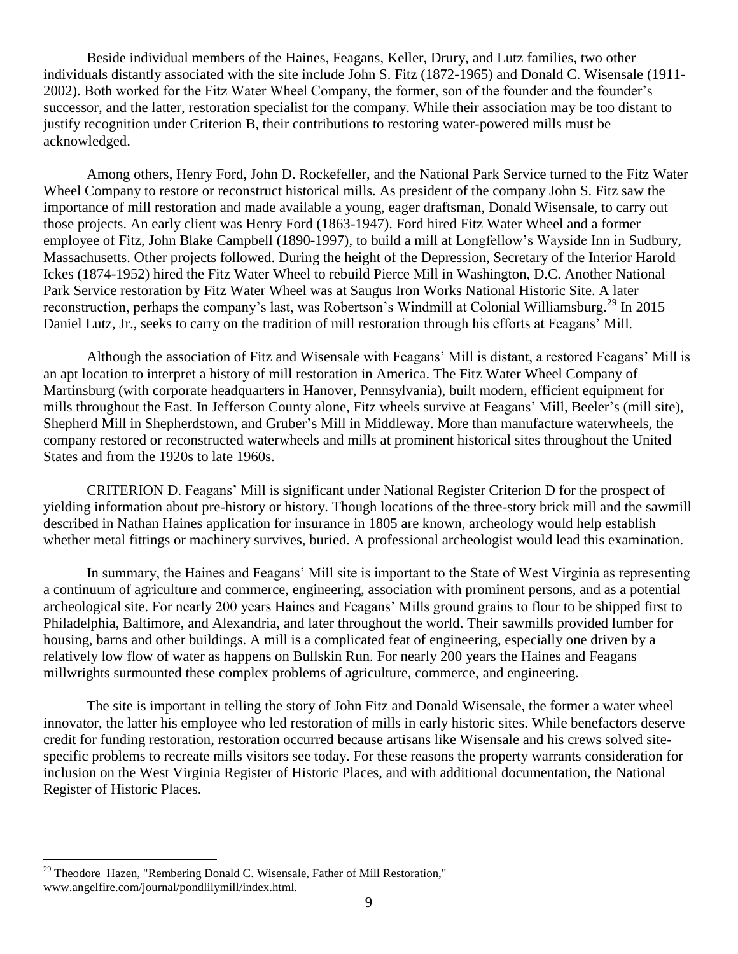Beside individual members of the Haines, Feagans, Keller, Drury, and Lutz families, two other individuals distantly associated with the site include John S. Fitz (1872-1965) and Donald C. Wisensale (1911- 2002). Both worked for the Fitz Water Wheel Company, the former, son of the founder and the founder's successor, and the latter, restoration specialist for the company. While their association may be too distant to justify recognition under Criterion B, their contributions to restoring water-powered mills must be acknowledged.

Among others, Henry Ford, John D. Rockefeller, and the National Park Service turned to the Fitz Water Wheel Company to restore or reconstruct historical mills. As president of the company John S. Fitz saw the importance of mill restoration and made available a young, eager draftsman, Donald Wisensale, to carry out those projects. An early client was Henry Ford (1863-1947). Ford hired Fitz Water Wheel and a former employee of Fitz, John Blake Campbell (1890-1997), to build a mill at Longfellow's Wayside Inn in Sudbury, Massachusetts. Other projects followed. During the height of the Depression, Secretary of the Interior Harold Ickes (1874-1952) hired the Fitz Water Wheel to rebuild Pierce Mill in Washington, D.C. Another National Park Service restoration by Fitz Water Wheel was at Saugus Iron Works National Historic Site. A later reconstruction, perhaps the company's last, was Robertson's Windmill at Colonial Williamsburg.<sup>29</sup> In 2015 Daniel Lutz, Jr., seeks to carry on the tradition of mill restoration through his efforts at Feagans' Mill.

Although the association of Fitz and Wisensale with Feagans' Mill is distant, a restored Feagans' Mill is an apt location to interpret a history of mill restoration in America. The Fitz Water Wheel Company of Martinsburg (with corporate headquarters in Hanover, Pennsylvania), built modern, efficient equipment for mills throughout the East. In Jefferson County alone, Fitz wheels survive at Feagans' Mill, Beeler's (mill site), Shepherd Mill in Shepherdstown, and Gruber's Mill in Middleway. More than manufacture waterwheels, the company restored or reconstructed waterwheels and mills at prominent historical sites throughout the United States and from the 1920s to late 1960s.

CRITERION D. Feagans' Mill is significant under National Register Criterion D for the prospect of yielding information about pre-history or history. Though locations of the three-story brick mill and the sawmill described in Nathan Haines application for insurance in 1805 are known, archeology would help establish whether metal fittings or machinery survives, buried. A professional archeologist would lead this examination.

In summary, the Haines and Feagans' Mill site is important to the State of West Virginia as representing a continuum of agriculture and commerce, engineering, association with prominent persons, and as a potential archeological site. For nearly 200 years Haines and Feagans' Mills ground grains to flour to be shipped first to Philadelphia, Baltimore, and Alexandria, and later throughout the world. Their sawmills provided lumber for housing, barns and other buildings. A mill is a complicated feat of engineering, especially one driven by a relatively low flow of water as happens on Bullskin Run. For nearly 200 years the Haines and Feagans millwrights surmounted these complex problems of agriculture, commerce, and engineering.

The site is important in telling the story of John Fitz and Donald Wisensale, the former a water wheel innovator, the latter his employee who led restoration of mills in early historic sites. While benefactors deserve credit for funding restoration, restoration occurred because artisans like Wisensale and his crews solved sitespecific problems to recreate mills visitors see today. For these reasons the property warrants consideration for inclusion on the West Virginia Register of Historic Places, and with additional documentation, the National Register of Historic Places.

 $29$  Theodore Hazen, "Rembering Donald C. Wisensale, Father of Mill Restoration," www.angelfire.com/journal/pondlilymill/index.html.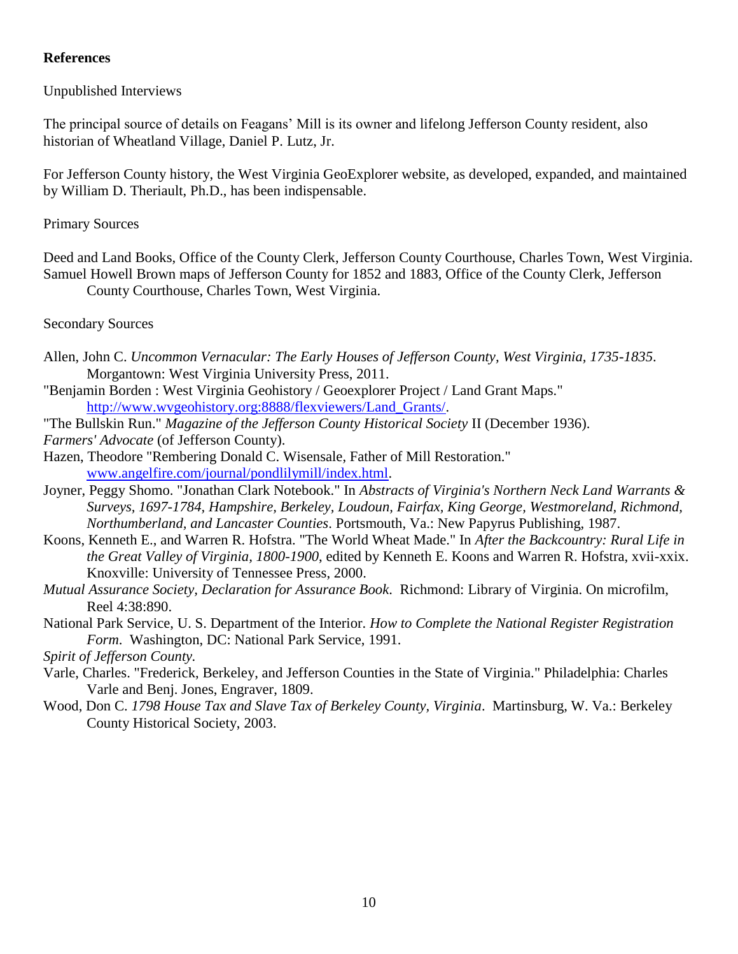### **References**

Unpublished Interviews

The principal source of details on Feagans' Mill is its owner and lifelong Jefferson County resident, also historian of Wheatland Village, Daniel P. Lutz, Jr.

For Jefferson County history, the West Virginia GeoExplorer website, as developed, expanded, and maintained by William D. Theriault, Ph.D., has been indispensable.

Primary Sources

Deed and Land Books, Office of the County Clerk, Jefferson County Courthouse, Charles Town, West Virginia. Samuel Howell Brown maps of Jefferson County for 1852 and 1883, Office of the County Clerk, Jefferson County Courthouse, Charles Town, West Virginia.

Secondary Sources

- Allen, John C. *Uncommon Vernacular: The Early Houses of Jefferson County, West Virginia, 1735-1835*. Morgantown: West Virginia University Press, 2011.
- "Benjamin Borden : West Virginia Geohistory / Geoexplorer Project / Land Grant Maps." [http://www.wvgeohistory.org:8888/flexviewers/Land\\_Grants/.](http://www.wvgeohistory.org:8888/flexviewers/Land_Grants/)
- "The Bullskin Run." *Magazine of the Jefferson County Historical Society* II (December 1936).

*Farmers' Advocate* (of Jefferson County).

- Hazen, Theodore "Rembering Donald C. Wisensale, Father of Mill Restoration." [www.angelfire.com/journal/pondlilymill/index.html.](http://www.angelfire.com/journal/pondlilymill/index.html)
- Joyner, Peggy Shomo. "Jonathan Clark Notebook." In *Abstracts of Virginia's Northern Neck Land Warrants & Surveys, 1697-1784, Hampshire, Berkeley, Loudoun, Fairfax, King George, Westmoreland, Richmond, Northumberland, and Lancaster Counties*. Portsmouth, Va.: New Papyrus Publishing, 1987.
- Koons, Kenneth E., and Warren R. Hofstra. "The World Wheat Made." In *After the Backcountry: Rural Life in the Great Valley of Virginia, 1800-1900*, edited by Kenneth E. Koons and Warren R. Hofstra, xvii-xxix. Knoxville: University of Tennessee Press, 2000.
- *Mutual Assurance Society, Declaration for Assurance Book*. Richmond: Library of Virginia. On microfilm, Reel 4:38:890.
- National Park Service, U. S. Department of the Interior. *How to Complete the National Register Registration Form*. Washington, DC: National Park Service, 1991.

*Spirit of Jefferson County.*

- Varle, Charles. "Frederick, Berkeley, and Jefferson Counties in the State of Virginia." Philadelphia: Charles Varle and Benj. Jones, Engraver, 1809.
- Wood, Don C. *1798 House Tax and Slave Tax of Berkeley County, Virginia*. Martinsburg, W. Va.: Berkeley County Historical Society, 2003.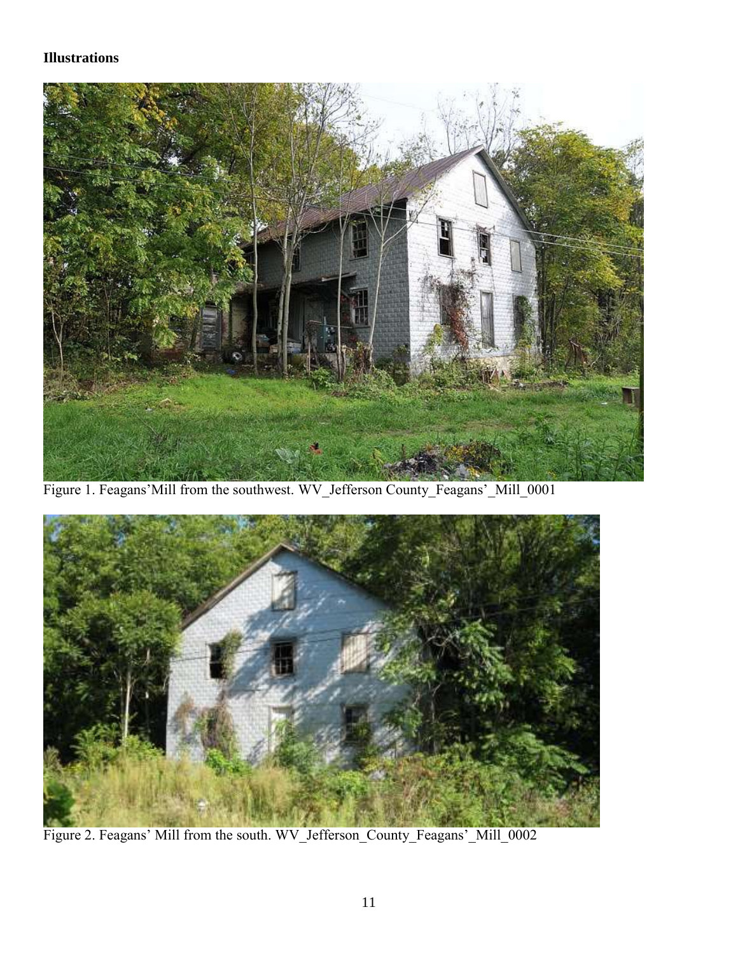## **Illustrations**



Figure 1. Feagans'Mill from the southwest. WV\_Jefferson County\_Feagans'\_Mill\_0001



Figure 2. Feagans' Mill from the south. WV\_Jefferson\_County\_Feagans'\_Mill\_0002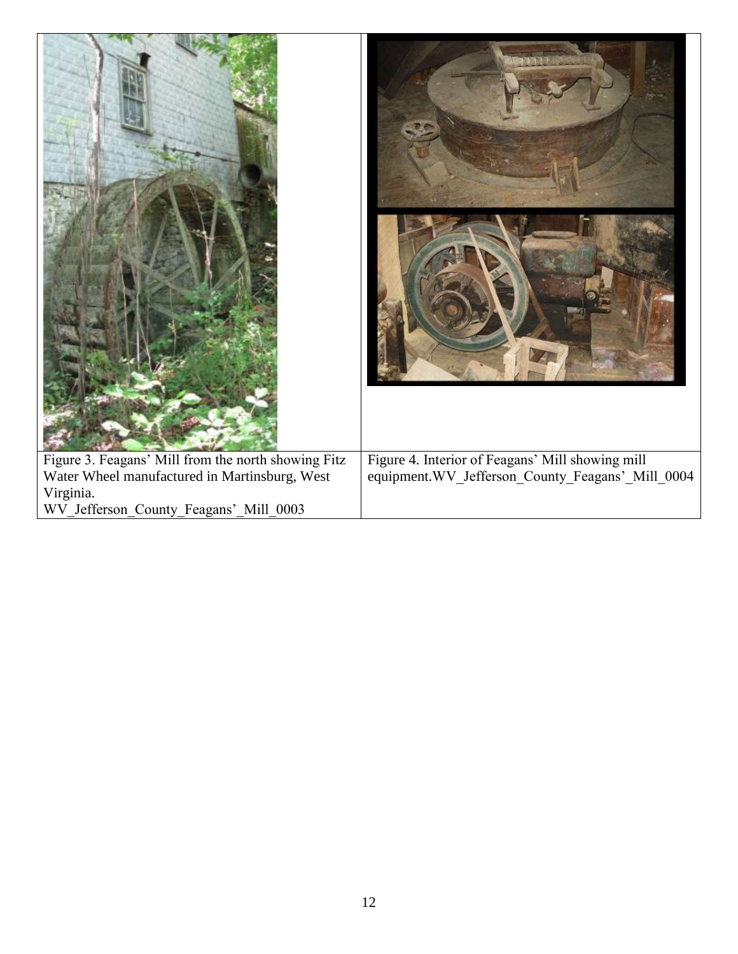| Figure 3. Feagans' Mill from the north showing Fitz<br>Water Wheel manufactured in Martinsburg, West | Figure 4. Interior of Feagans' Mill showing mill<br>equipment. WV_Jefferson_County_Feagans'_Mill_0004 |  |
|------------------------------------------------------------------------------------------------------|-------------------------------------------------------------------------------------------------------|--|
| Virginia.<br>WV_Jefferson_County_Feagans'_Mill_0003                                                  |                                                                                                       |  |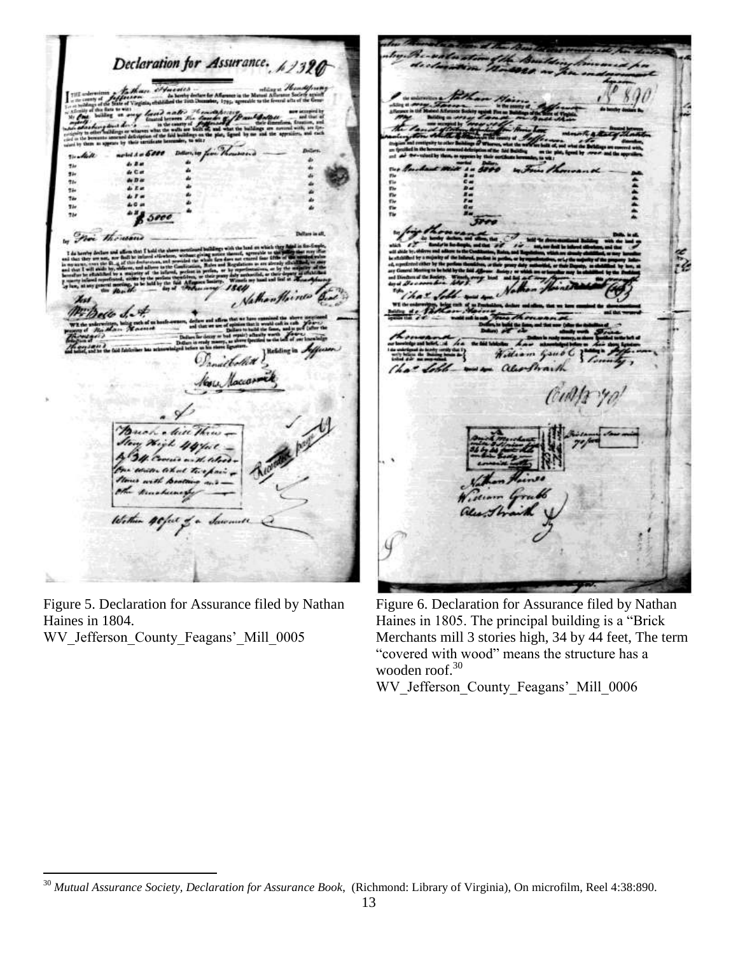Declaration for Assurance. 斯勃勃斯勒 noi the do d Danielolid Kon Macco

Figure 5. Declaration for Assurance filed by Nathan Haines in 1804.

WV Jefferson County Feagans' Mill 0005

 $\overline{a}$ 

Figure 6. Declaration for Assurance filed by Nathan Haines in 1805. The principal building is a "Brick Merchants mill 3 stories high, 34 by 44 feet, The term "covered with wood" means the structure has a wooden roof.<sup>30</sup>

WV\_Jefferson\_County\_Feagans'\_Mill\_0006

<sup>30</sup> *Mutual Assurance Society, Declaration for Assurance Book*, (Richmond: Library of Virginia), On microfilm, Reel 4:38:890.